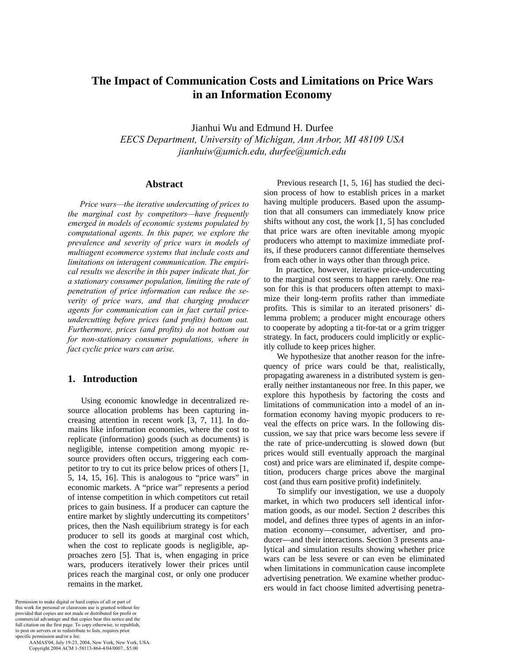# **The Impact of Communication Costs and Limitations on Price Wars in an Information Economy**

Jianhui Wu and Edmund H. Durfee *EECS Department, University of Michigan, Ann Arbor, MI 48109 USA jianhuiw@umich.edu, durfee@umich.edu*

# **Abstract**

*Price wars—the iterative undercutting of prices to the marginal cost by competitors—have frequently emerged in models of economic systems populated by computational agents. In this paper, we explore the prevalence and severity of price wars in models of multiagent ecommerce systems that include costs and limitations on interagent communication. The empirical results we describe in this paper indicate that, for a stationary consumer population, limiting the rate of penetration of price information can reduce the severity of price wars, and that charging producer agents for communication can in fact curtail priceundercutting before prices (and profits) bottom out. Furthermore, prices (and profits) do not bottom out for non-stationary consumer populations, where in fact cyclic price wars can arise.* 

# **1. Introduction**

Using economic knowledge in decentralized resource allocation problems has been capturing increasing attention in recent work [3, 7, 11]. In domains like information economies, where the cost to replicate (information) goods (such as documents) is negligible, intense competition among myopic resource providers often occurs, triggering each competitor to try to cut its price below prices of others [1, 5, 14, 15, 16]. This is analogous to "price wars" in economic markets. A "price war" represents a period of intense competition in which competitors cut retail prices to gain business. If a producer can capture the entire market by slightly undercutting its competitors' prices, then the Nash equilibrium strategy is for each producer to sell its goods at marginal cost which, when the cost to replicate goods is negligible, approaches zero [5]. That is, when engaging in price wars, producers iteratively lower their prices until prices reach the marginal cost, or only one producer remains in the market.

Permission to make digital or hard copies of all or part of this work for personal or classroom use is granted without fee provided that copies are not made or distributed for profit or commercial advantage and that copies bear this notice and the full citation on the first page. To copy otherwise, to republish, to post on servers or to redistribute to lists, requires prior specific permission and/or a fee.

 AAMAS'04, July 19-23, 2004, New York, New York, USA. Copyright 2004 ACM 1-58113-864-4/04/0007...\$5.00

Previous research [1, 5, 16] has studied the decision process of how to establish prices in a market having multiple producers. Based upon the assumption that all consumers can immediately know price shifts without any cost, the work [1, 5] has concluded that price wars are often inevitable among myopic producers who attempt to maximize immediate profits, if these producers cannot differentiate themselves from each other in ways other than through price.

In practice, however, iterative price-undercutting to the marginal cost seems to happen rarely. One reason for this is that producers often attempt to maximize their long-term profits rather than immediate profits. This is similar to an iterated prisoners' dilemma problem; a producer might encourage others to cooperate by adopting a tit-for-tat or a grim trigger strategy. In fact, producers could implicitly or explicitly collude to keep prices higher.

We hypothesize that another reason for the infrequency of price wars could be that, realistically, propagating awareness in a distributed system is generally neither instantaneous nor free. In this paper, we explore this hypothesis by factoring the costs and limitations of communication into a model of an information economy having myopic producers to reveal the effects on price wars. In the following discussion, we say that price wars become less severe if the rate of price-undercutting is slowed down (but prices would still eventually approach the marginal cost) and price wars are eliminated if, despite competition, producers charge prices above the marginal cost (and thus earn positive profit) indefinitely.

To simplify our investigation, we use a duopoly market, in which two producers sell identical information goods, as our model. Section 2 describes this model, and defines three types of agents in an information economy—consumer, advertiser, and producer—and their interactions. Section 3 presents analytical and simulation results showing whether price wars can be less severe or can even be eliminated when limitations in communication cause incomplete advertising penetration. We examine whether producers would in fact choose limited advertising penetra-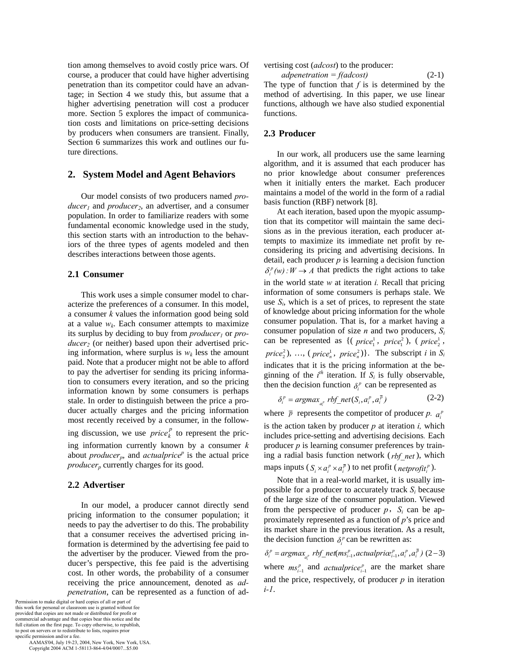tion among themselves to avoid costly price wars. Of course, a producer that could have higher advertising penetration than its competitor could have an advantage; in Section 4 we study this, but assume that a higher advertising penetration will cost a producer more. Section 5 explores the impact of communication costs and limitations on price-setting decisions by producers when consumers are transient. Finally, Section 6 summarizes this work and outlines our future directions.

# **2. System Model and Agent Behaviors**

Our model consists of two producers named *pro* $ducer<sub>1</sub>$  and *producer<sub>2</sub>*, an advertiser, and a consumer population. In order to familiarize readers with some fundamental economic knowledge used in the study, this section starts with an introduction to the behaviors of the three types of agents modeled and then describes interactions between those agents.

### **2.1 Consumer**

This work uses a simple consumer model to characterize the preferences of a consumer. In this model, a consumer *k* values the information good being sold at a value  $w_k$ . Each consumer attempts to maximize its surplus by deciding to buy from *producer* or *producer*<sub>2</sub> (or neither) based upon their advertised pricing information, where surplus is  $w_k$  less the amount paid. Note that a producer might not be able to afford to pay the advertiser for sending its pricing information to consumers every iteration, and so the pricing information known by some consumers is perhaps stale. In order to distinguish between the price a producer actually charges and the pricing information most recently received by a consumer, in the following discussion, we use  $price_k^p$  to represent the pric-

ing information currently known by a consumer *k* about *producer<sub>p</sub>*, and *actualprice<sup>p</sup>* is the actual price *producer<sub>p</sub>* currently charges for its good.

# **2.2 Advertiser**

In our model, a producer cannot directly send pricing information to the consumer population; it needs to pay the advertiser to do this. The probability that a consumer receives the advertised pricing information is determined by the advertising fee paid to the advertiser by the producer. Viewed from the producer's perspective, this fee paid is the advertising cost. In other words, the probability of a consumer receiving the price announcement, denoted as *adpenetration*, can be represented as a function of ad-

Permission to make digital or hard copies of all or part of this work for personal or classroom use is granted without fee provided that copies are not made or distributed for profit or commercial advantage and that copies bear this notice and the full citation on the first page. To copy otherwise, to republish, to post on servers or to redistribute to lists, requires prior specific permission and/or a fee.

 AAMAS'04, July 19-23, 2004, New York, New York, USA. Copyright 2004 ACM 1-58113-864-4/04/0007...\$5.00

vertising cost (*adcost*) to the producer:

 $adpenetration = f(adcost)$  (2-1) The type of function that  $f$  is is determined by the method of advertising. In this paper, we use linear functions, although we have also studied exponential functions.

# **2.3 Producer**

In our work, all producers use the same learning algorithm, and it is assumed that each producer has no prior knowledge about consumer preferences when it initially enters the market. Each producer maintains a model of the world in the form of a radial basis function (RBF) network [8].

At each iteration, based upon the myopic assumption that its competitor will maintain the same decisions as in the previous iteration, each producer attempts to maximize its immediate net profit by reconsidering its pricing and advertising decisions. In detail, each producer *p* is learning a decision function  $\delta_i^p(w)$ :  $W \to A$  that predicts the right actions to take in the world state *w* at iteration *i.* Recall that pricing information of some consumers is perhaps stale. We use  $S_i$ , which is a set of prices, to represent the state of knowledge about pricing information for the whole consumer population. That is, for a market having a consumer population of size *n* and two producers, *Si* can be represented as  $\{(\text{price}_1^1, \text{price}_1^2), (\text{price}_2^1, \text{price}_3^2)\}$  $price_2^2$ , ..., ( $price_n^1$ ,  $price_n^2$ )}. The subscript *i* in  $S_i$ indicates that it is the pricing information at the beginning of the  $i^{th}$  iteration. If  $S_i$  is fully observable, then the decision function  $\delta_i^p$  can be represented as

$$
\delta_i^p = \operatorname{argmax}_{a_i^p} rbf\_net(S_i, a_i^p, a_i^{\overline{p}})
$$
 (2-2)

where  $\bar{p}$  represents the competitor of producer *p.*  $a_i^p$ is the action taken by producer  $p$  at iteration  $i$ , which includes price-setting and advertising decisions*.* Each producer *p* is learning consumer preferences by training a radial basis function network (*rbf\_net* ), which maps inputs  $(S_i \times a_i^p \times a_i^{\bar{p}})$  to net profit (*netprofit*<sup>*p*</sup>).

Note that in a real-world market, it is usually impossible for a producer to accurately track  $S_i$  because of the large size of the consumer population. Viewed from the perspective of producer  $p$ ,  $S_i$  can be approximately represented as a function of *p*'s price and its market share in the previous iteration. As a result, the decision function  $\delta_i^p$  can be rewritten as:

 $\delta_i^p = \text{argmax}_{a_i^p} \text{rbf\_net}(\text{ms}_{i-1}^p, \text{actualprice}_{i-1}^p, a_i^p, a_i^{\bar{p}})$  (2-3) where  $ms_{i-1}^p$  and *actualprice*  $_{i-1}^p$  are the market share and the price, respectively, of producer *p* in iteration *i-1*.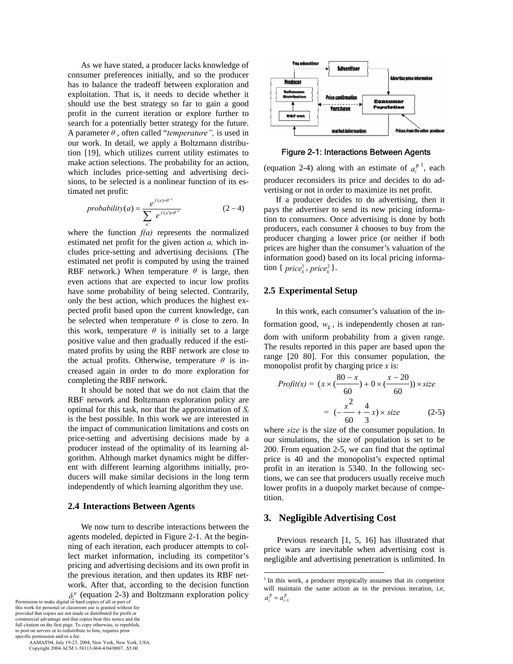As we have stated, a producer lacks knowledge of consumer preferences initially, and so the producer has to balance the tradeoff between exploration and exploitation. That is, it needs to decide whether it should use the best strategy so far to gain a good profit in the current iteration or explore further to search for a potentially better strategy for the future. A parameter <sup>θ</sup> , often called "*temperature",* is used in our work. In detail, we apply a Boltzmann distribution [19], which utilizes current utility estimates to make action selections. The probability for an action, which includes price-setting and advertising decisions, to be selected is a nonlinear function of its estimated net profit:

$$
probability(a) = \frac{e^{f(a)\times\theta^{-1}}}{\sum_{a'} e^{f(a')\times\theta^{-1}}} \tag{2-4}
$$

where the function *f(a)* represents the normalized estimated net profit for the given action *a,* which includes price-setting and advertising decisions*.* (The estimated net profit is computed by using the trained RBF network.) When temperature  $\theta$  is large, then even actions that are expected to incur low profits have some probability of being selected. Contrarily, only the best action, which produces the highest expected profit based upon the current knowledge, can be selected when temperature  $\theta$  is close to zero. In this work, temperature  $\theta$  is initially set to a large positive value and then gradually reduced if the estimated profits by using the RBF network are close to the actual profits. Otherwise, temperature  $\theta$  is increased again in order to do more exploration for completing the RBF network.

It should be noted that we do not claim that the RBF network and Boltzmann exploration policy are optimal for this task, nor that the approximation of *Si* is the best possible. In this work we are interested in the impact of communication limitations and costs on price-setting and advertising decisions made by a producer instead of the optimality of its learning algorithm. Although market dynamics might be different with different learning algorithms initially, producers will make similar decisions in the long term independently of which learning algorithm they use.

#### **2.4 Interactions Between Agents**

We now turn to describe interactions between the agents modeled, depicted in Figure 2-1. At the beginning of each iteration, each producer attempts to collect market information, including its competitor's pricing and advertising decisions and its own profit in the previous iteration, and then updates its RBF network. After that, according to the decision function  $\delta_i^p$  (equation 2-3) and Boltzmann exploration policy

Permission to make digital or hard copies of all or part of this work for personal or classroom use is granted without fee provided that copies are not made or distributed for profit or commercial advantage and that copies bear this notice and the full citation on the first page. To copy otherwise, to republish, to post on servers or to redistribute to lists, requires prior specific permission and/or a fee.

 AAMAS'04, July 19-23, 2004, New York, New York, USA. Copyright 2004 ACM 1-58113-864-4/04/0007...\$5.00



Figure 2-1: Interactions Between Agents

(equation 2-4) along with an estimate of  $a_i^{\bar{p} \, 1}$ , each producer reconsiders its price and decides to do advertising or not in order to maximize its net profit.

If a producer decides to do advertising, then it pays the advertiser to send its new pricing information to consumers. Once advertising is done by both producers, each consumer *k* chooses to buy from the producer charging a lower price (or neither if both prices are higher than the consumer's valuation of the information good) based on its local pricing informa- $\text{tion } \{ \text{ price}_k^1, \text{ price}_k^2 \}.$ 

# **2.5 Experimental Setup**

In this work, each consumer's valuation of the information good,  $w_k$ , is independently chosen at random with uniform probability from a given range. The results reported in this paper are based upon the range [20 80]. For this consumer population, the monopolist profit by charging price *x* is:

$$
Profit(x) = (x \times (\frac{80 - x}{60}) + 0 \times (\frac{x - 20}{60})) \times size
$$

$$
= (-\frac{x^2}{60} + \frac{4}{3}x) \times size
$$
(2-5)

where *size* is the size of the consumer population. In our simulations, the size of population is set to be 200. From equation 2-5, we can find that the optimal price is 40 and the monopolist's expected optimal profit in an iteration is 5340. In the following sections, we can see that producers usually receive much lower profits in a duopoly market because of competition.

# **3. Negligible Advertising Cost**

 $\overline{a}$ 

Previous research [1, 5, 16] has illustrated that price wars are inevitable when advertising cost is negligible and advertising penetration is unlimited. In

<sup>&</sup>lt;sup>1</sup> In this work, a producer myopically assumes that its competitor will maintain the same action as in the previous iteration, i.e,  $a_i^{\overline{p}} = a_{i-1}^{\overline{p}}$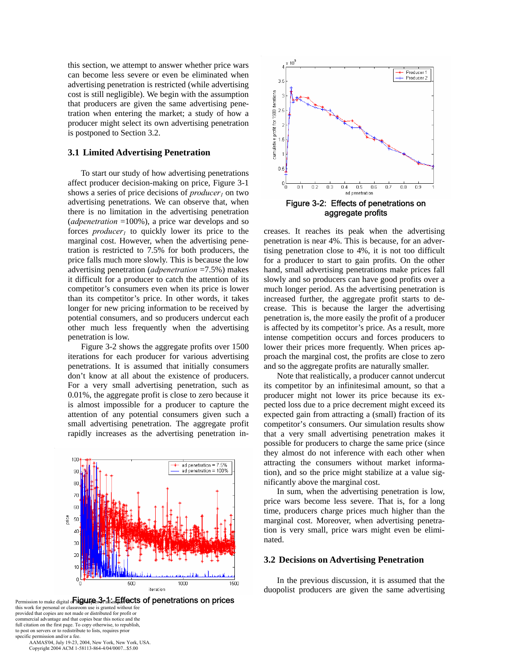this section, we attempt to answer whether price wars can become less severe or even be eliminated when advertising penetration is restricted (while advertising cost is still negligible). We begin with the assumption that producers are given the same advertising penetration when entering the market; a study of how a producer might select its own advertising penetration is postponed to Section 3.2.

# **3.1 Limited Advertising Penetration**

To start our study of how advertising penetrations affect producer decision-making on price, Figure 3-1 shows a series of price decisions of *producer<sub>1</sub>* on two advertising penetrations. We can observe that, when there is no limitation in the advertising penetration (*adpenetration* =100%), a price war develops and so forces *producer<sub>1</sub>* to quickly lower its price to the marginal cost. However, when the advertising penetration is restricted to 7.5% for both producers, the price falls much more slowly. This is because the low advertising penetration (*adpenetration* =7.5%) makes it difficult for a producer to catch the attention of its competitor's consumers even when its price is lower than its competitor's price. In other words, it takes longer for new pricing information to be received by potential consumers, and so producers undercut each other much less frequently when the advertising penetration is low.

Figure 3-2 shows the aggregate profits over 1500 iterations for each producer for various advertising penetrations. It is assumed that initially consumers don't know at all about the existence of producers. For a very small advertising penetration, such as 0.01%, the aggregate profit is close to zero because it is almost impossible for a producer to capture the attention of any potential consumers given such a small advertising penetration. The aggregate profit rapidly increases as the advertising penetration in-





 $\times$  10 $^\circ$ Producer 1 Producer 2 3.5 1500 iterations ວ ∈ cumulative profit for ö Æ  $0.5$  $0\frac{1}{0}$  $0.1$  $0.2$  $0.3$  $0.4$  $0.5$  $0.6$  $0.7$  $0.8$  $0.9$ ad penetration Figure 3-2: Effects of penetrations on aggregate profits

creases. It reaches its peak when the advertising penetration is near 4%. This is because, for an advertising penetration close to 4%, it is not too difficult for a producer to start to gain profits. On the other hand, small advertising penetrations make prices fall slowly and so producers can have good profits over a much longer period. As the advertising penetration is increased further, the aggregate profit starts to decrease. This is because the larger the advertising penetration is, the more easily the profit of a producer is affected by its competitor's price. As a result, more intense competition occurs and forces producers to lower their prices more frequently. When prices approach the marginal cost, the profits are close to zero and so the aggregate profits are naturally smaller.

Note that realistically, a producer cannot undercut its competitor by an infinitesimal amount, so that a producer might not lower its price because its expected loss due to a price decrement might exceed its expected gain from attracting a (small) fraction of its competitor's consumers. Our simulation results show that a very small advertising penetration makes it possible for producers to charge the same price (since they almost do not inference with each other when attracting the consumers without market information), and so the price might stabilize at a value significantly above the marginal cost.

In sum, when the advertising penetration is low, price wars become less severe. That is, for a long time, producers charge prices much higher than the marginal cost. Moreover, when advertising penetration is very small, price wars might even be eliminated.

#### **3.2 Decisions on Advertising Penetration**

In the previous discussion, it is assumed that the duopolist producers are given the same advertising

 AAMAS'04, July 19-23, 2004, New York, New York, USA. Copyright 2004 ACM 1-58113-864-4/04/0007...\$5.00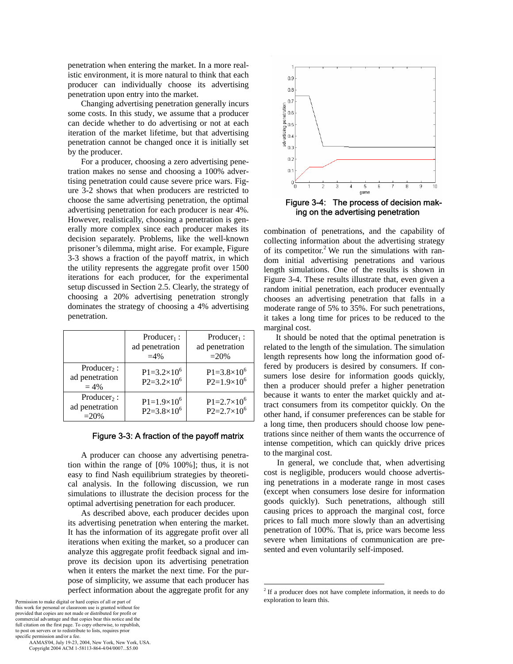penetration when entering the market. In a more realistic environment, it is more natural to think that each producer can individually choose its advertising penetration upon entry into the market.

Changing advertising penetration generally incurs some costs. In this study, we assume that a producer can decide whether to do advertising or not at each iteration of the market lifetime, but that advertising penetration cannot be changed once it is initially set by the producer.

For a producer, choosing a zero advertising penetration makes no sense and choosing a 100% advertising penetration could cause severe price wars. Figure 3-2 shows that when producers are restricted to choose the same advertising penetration, the optimal advertising penetration for each producer is near 4%. However, realistically, choosing a penetration is generally more complex since each producer makes its decision separately. Problems, like the well-known prisoner's dilemma, might arise. For example, Figure 3-3 shows a fraction of the payoff matrix, in which the utility represents the aggregate profit over 1500 iterations for each producer, for the experimental setup discussed in Section 2.5. Clearly, the strategy of choosing a 20% advertising penetration strongly dominates the strategy of choosing a 4% advertising penetration.

|                                                     | $Producter_1$ :<br>ad penetration<br>$=4%$       | $Producter_1$ :<br>ad penetration<br>$=20%$      |
|-----------------------------------------------------|--------------------------------------------------|--------------------------------------------------|
| $Product_2$ :<br>ad penetration<br>$= 4\%$          | $P1 = 3.2 \times 10^6$<br>$P2 = 3.2 \times 10^6$ | $P1 = 3.8 \times 10^6$<br>$P2=1.9\times10^{6}$   |
| Producer <sub>2</sub> :<br>ad penetration<br>$=20%$ | $P1=1.9\times10^{6}$<br>$P2 = 3.8 \times 10^6$   | $P1 = 2.7 \times 10^6$<br>$P2 = 2.7 \times 10^6$ |

#### Figure 3-3: A fraction of the payoff matrix

A producer can choose any advertising penetration within the range of [0% 100%]; thus, it is not easy to find Nash equilibrium strategies by theoretical analysis. In the following discussion, we run simulations to illustrate the decision process for the optimal advertising penetration for each producer.

As described above, each producer decides upon its advertising penetration when entering the market. It has the information of its aggregate profit over all iterations when exiting the market, so a producer can analyze this aggregate profit feedback signal and improve its decision upon its advertising penetration when it enters the market the next time. For the purpose of simplicity, we assume that each producer has perfect information about the aggregate profit for any



ing on the advertising penetration

combination of penetrations, and the capability of collecting information about the advertising strategy of its competitor.<sup>2</sup> We run the simulations with random initial advertising penetrations and various length simulations. One of the results is shown in Figure 3-4. These results illustrate that, even given a random initial penetration, each producer eventually chooses an advertising penetration that falls in a moderate range of 5% to 35%. For such penetrations, it takes a long time for prices to be reduced to the marginal cost.

It should be noted that the optimal penetration is related to the length of the simulation. The simulation length represents how long the information good offered by producers is desired by consumers. If consumers lose desire for information goods quickly, then a producer should prefer a higher penetration because it wants to enter the market quickly and attract consumers from its competitor quickly. On the other hand, if consumer preferences can be stable for a long time, then producers should choose low penetrations since neither of them wants the occurrence of intense competition, which can quickly drive prices to the marginal cost.

In general, we conclude that, when advertising cost is negligible, producers would choose advertising penetrations in a moderate range in most cases (except when consumers lose desire for information goods quickly). Such penetrations, although still causing prices to approach the marginal cost, force prices to fall much more slowly than an advertising penetration of 100%. That is, price wars become less severe when limitations of communication are presented and even voluntarily self-imposed.

 $\overline{a}$ 

<sup>&</sup>lt;sup>2</sup> If a producer does not have complete information, it needs to do exploration to learn this.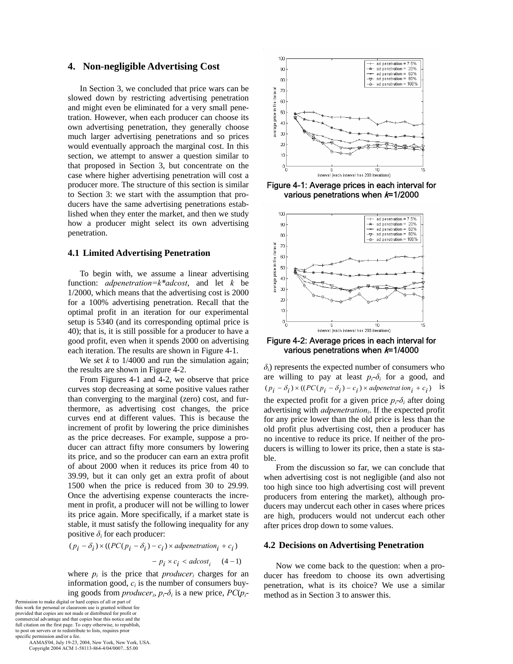# **4. Non-negligible Advertising Cost**

In Section 3, we concluded that price wars can be slowed down by restricting advertising penetration and might even be eliminated for a very small penetration. However, when each producer can choose its own advertising penetration, they generally choose much larger advertising penetrations and so prices would eventually approach the marginal cost. In this section, we attempt to answer a question similar to that proposed in Section 3, but concentrate on the case where higher advertising penetration will cost a producer more. The structure of this section is similar to Section 3: we start with the assumption that producers have the same advertising penetrations established when they enter the market, and then we study how a producer might select its own advertising penetration.

## **4.1 Limited Advertising Penetration**

To begin with, we assume a linear advertising function: *adpenetration=k\*adcost*, and let *k* be 1/2000, which means that the advertising cost is 2000 for a 100% advertising penetration. Recall that the optimal profit in an iteration for our experimental setup is 5340 (and its corresponding optimal price is 40); that is, it is still possible for a producer to have a good profit, even when it spends 2000 on advertising each iteration. The results are shown in Figure 4-1.

We set  $k$  to  $1/4000$  and run the simulation again; the results are shown in Figure 4-2.

From Figures 4-1 and 4-2, we observe that price curves stop decreasing at some positive values rather than converging to the marginal (zero) cost, and furthermore, as advertising cost changes, the price curves end at different values. This is because the increment of profit by lowering the price diminishes as the price decreases. For example, suppose a producer can attract fifty more consumers by lowering its price, and so the producer can earn an extra profit of about 2000 when it reduces its price from 40 to 39.99, but it can only get an extra profit of about 1500 when the price is reduced from 30 to 29.99. Once the advertising expense counteracts the increment in profit, a producer will not be willing to lower its price again. More specifically, if a market state is stable, it must satisfy the following inequality for any positive  $\delta_i$  for each producer:

$$
(p_i - \delta_i) \times ((PC(p_i - \delta_i) - c_i) \times adpenetration_i + c_i)
$$
  
- 
$$
p_i \times c_i < adcost_i
$$
 (4–1)

where  $p_i$  is the price that *producer<sub>i</sub>* charges for an information good,  $c_i$  is the number of consumers buying goods from *producer<sub>i</sub>*,  $p_i$ - $\delta$ <sub>*i*</sub> is a new price,  $PC(p_i$ -

Permission to make digital or hard copies of all or part of this work for personal or classroom use is granted without fee provided that copies are not made or distributed for profit or commercial advantage and that copies bear this notice and the full citation on the first page. To copy otherwise, to republish, to post on servers or to redistribute to lists, requires prior specific permission and/or a fee.

 AAMAS'04, July 19-23, 2004, New York, New York, USA. Copyright 2004 ACM 1-58113-864-4/04/0007...\$5.00



Figure 4-1: Average prices in each interval for various penetrations when  $k=1/2000$ 



Figure 4-2: Average prices in each interval for various penetrations when  $k=1/4000$ 

 $\delta$ <sup>*i*</sup>) represents the expected number of consumers who are willing to pay at least  $p_i - \delta_i$  for a good, and  $(p_i - \delta_i) \times ((PC(p_i - \delta_i) - c_i) \times \text{alpenetrat ion}_i + c_i)$  is the expected profit for a given price  $p_i$ - $\delta_i$  after doing advertising with *adpenetration<sub>i</sub>*. If the expected profit for any price lower than the old price is less than the old profit plus advertising cost, then a producer has no incentive to reduce its price. If neither of the producers is willing to lower its price, then a state is stable.

From the discussion so far, we can conclude that when advertising cost is not negligible (and also not too high since too high advertising cost will prevent producers from entering the market), although producers may undercut each other in cases where prices are high, producers would not undercut each other after prices drop down to some values.

## **4.2 Decisions on Advertising Penetration**

Now we come back to the question: when a producer has freedom to choose its own advertising penetration, what is its choice? We use a similar method as in Section 3 to answer this.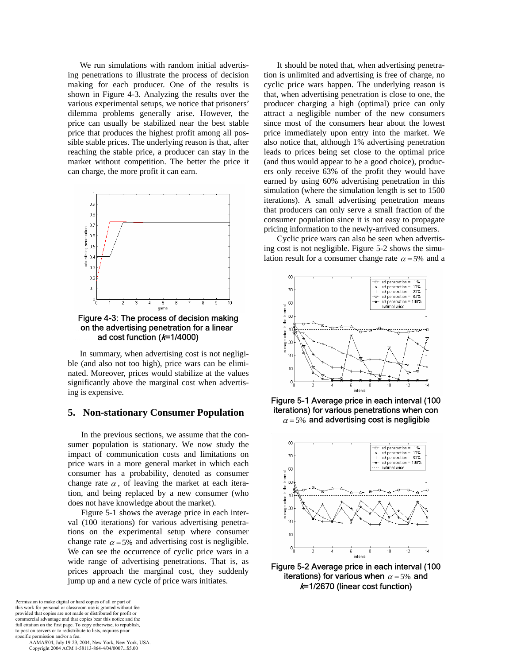We run simulations with random initial advertising penetrations to illustrate the process of decision making for each producer. One of the results is shown in Figure 4-3. Analyzing the results over the various experimental setups, we notice that prisoners' dilemma problems generally arise. However, the price can usually be stabilized near the best stable price that produces the highest profit among all possible stable prices. The underlying reason is that, after reaching the stable price, a producer can stay in the market without competition. The better the price it can charge, the more profit it can earn.



ad cost function (k=1/4000)

In summary, when advertising cost is not negligible (and also not too high), price wars can be eliminated. Moreover, prices would stabilize at the values significantly above the marginal cost when advertising is expensive.

## **5. Non-stationary Consumer Population**

In the previous sections, we assume that the consumer population is stationary. We now study the impact of communication costs and limitations on price wars in a more general market in which each consumer has a probability, denoted as consumer change rate  $\alpha$ , of leaving the market at each iteration, and being replaced by a new consumer (who does not have knowledge about the market).

Figure 5-1 shows the average price in each interval (100 iterations) for various advertising penetrations on the experimental setup where consumer change rate  $\alpha = 5\%$  and advertising cost is negligible. We can see the occurrence of cyclic price wars in a wide range of advertising penetrations. That is, as prices approach the marginal cost, they suddenly jump up and a new cycle of price wars initiates.

Permission to make digital or hard copies of all or part of this work for personal or classroom use is granted without fee provided that copies are not made or distributed for profit or commercial advantage and that copies bear this notice and the full citation on the first page. To copy otherwise, to republish, to post on servers or to redistribute to lists, requires prior specific permission and/or a fee.

 AAMAS'04, July 19-23, 2004, New York, New York, USA. Copyright 2004 ACM 1-58113-864-4/04/0007...\$5.00

It should be noted that, when advertising penetration is unlimited and advertising is free of charge, no cyclic price wars happen. The underlying reason is that, when advertising penetration is close to one, the producer charging a high (optimal) price can only attract a negligible number of the new consumers since most of the consumers hear about the lowest price immediately upon entry into the market. We also notice that, although 1% advertising penetration leads to prices being set close to the optimal price (and thus would appear to be a good choice), producers only receive 63% of the profit they would have earned by using 60% advertising penetration in this simulation (where the simulation length is set to 1500 iterations). A small advertising penetration means that producers can only serve a small fraction of the consumer population since it is not easy to propagate pricing information to the newly-arrived consumers.

 Cyclic price wars can also be seen when advertising cost is not negligible. Figure 5-2 shows the simulation result for a consumer change rate  $\alpha = 5\%$  and a



Figure 5-1 Average price in each interval (100 iterations) for various penetrations when con  $\alpha$  = 5% and advertising cost is negligible



Figure 5-2 Average price in each interval (100 iterations) for various when  $\alpha = 5\%$  and  $k=1/2670$  (linear cost function)